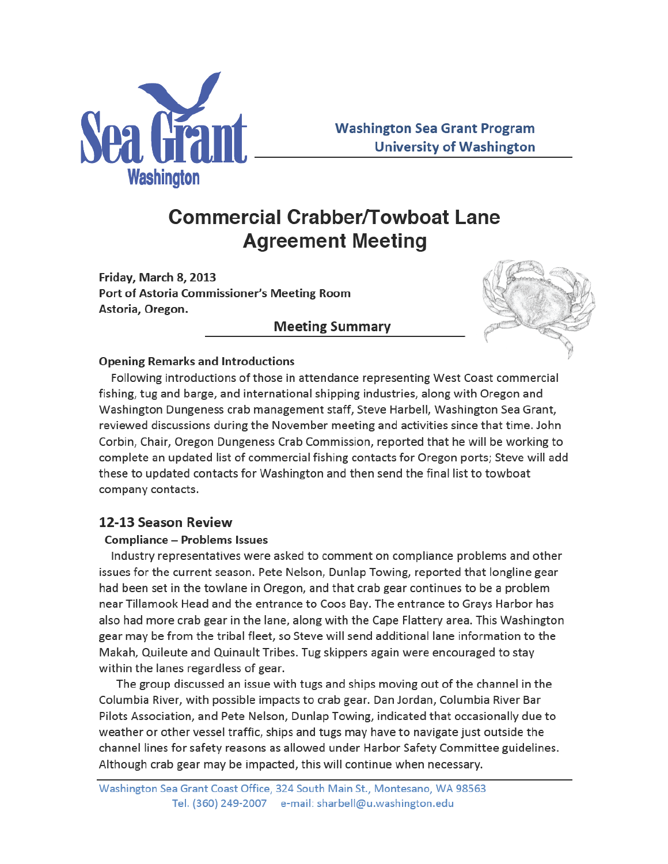

# **Commercial Crabber/Towboat Lane Agreement Meeting**

Friday, March 8, 2013 Port of Astoria Commissioner's Meeting Room Astoria, Oregon.

## **Meeting Summary**



#### **Opening Remarks and Introductions**

Following introductions of those in attendance representing West Coast commercial fishing, tug and barge, and international shipping industries, along with Oregon and Washington Dungeness crab management staff, Steve Harbell, Washington Sea Grant, reviewed discussions during the November meeting and activities since that time. John Corbin, Chair, Oregon Dungeness Crab Commission, reported that he will be working to complete an updated list of commercial fishing contacts for Oregon ports; Steve will add these to updated contacts for Washington and then send the final list to towboat company contacts.

## 12-13 Season Review

#### **Compliance - Problems Issues**

Industry representatives were asked to comment on compliance problems and other issues for the current season. Pete Nelson, Dunlap Towing, reported that longline gear had been set in the towlane in Oregon, and that crab gear continues to be a problem near Tillamook Head and the entrance to Coos Bay. The entrance to Grays Harbor has also had more crab gear in the lane, along with the Cape Flattery area. This Washington gear may be from the tribal fleet, so Steve will send additional lane information to the Makah, Quileute and Quinault Tribes. Tug skippers again were encouraged to stay within the lanes regardless of gear.

The group discussed an issue with tugs and ships moving out of the channel in the Columbia River, with possible impacts to crab gear. Dan Jordan, Columbia River Bar Pilots Association, and Pete Nelson, Dunlap Towing, indicated that occasionally due to weather or other vessel traffic, ships and tugs may have to navigate just outside the channel lines for safety reasons as allowed under Harbor Safety Committee guidelines. Although crab gear may be impacted, this will continue when necessary.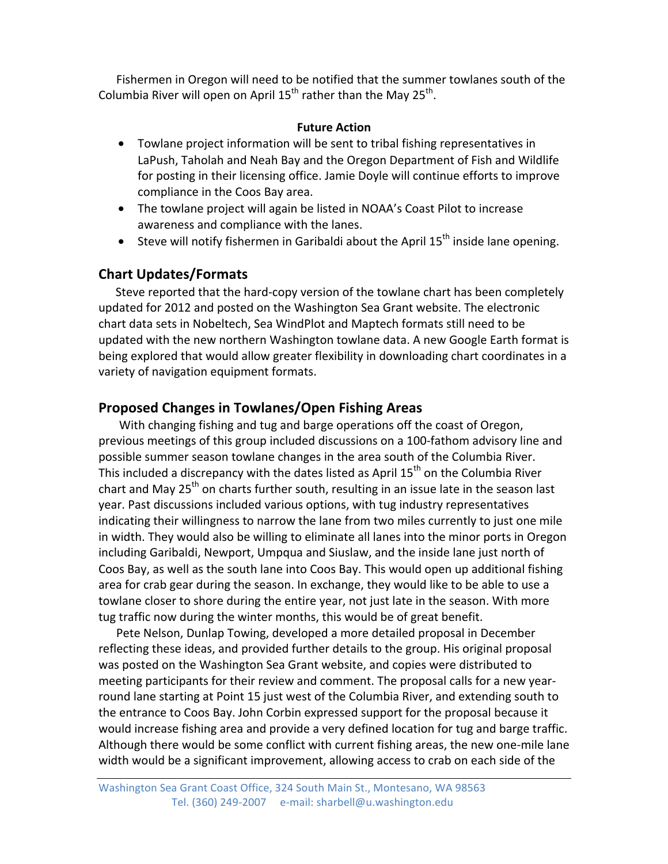Fishermen in Oregon will need to be notified that the summer towlanes south of the Columbia River will open on April  $15<sup>th</sup>$  rather than the May  $25<sup>th</sup>$ .

#### **Future Action**

- Towlane project information will be sent to tribal fishing representatives in LaPush, Taholah and Neah Bay and the Oregon Department of Fish and Wildlife for posting in their licensing office. Jamie Doyle will continue efforts to improve compliance in the Coos Bay area.
- The towlane project will again be listed in NOAA's Coast Pilot to increase awareness and compliance with the lanes.
- Steve will notify fishermen in Garibaldi about the April  $15<sup>th</sup>$  inside lane opening.

## **Chart Updates/Formats**

Steve reported that the hard-copy version of the towlane chart has been completely updated for 2012 and posted on the Washington Sea Grant website. The electronic chart data sets in Nobeltech, Sea WindPlot and Maptech formats still need to be updated with the new northern Washington towlane data. A new Google Earth format is being explored that would allow greater flexibility in downloading chart coordinates in a variety of navigation equipment formats.

## **Proposed Changes in Towlanes/Open Fishing Areas**

With changing fishing and tug and barge operations off the coast of Oregon, previous meetings of this group included discussions on a 100-fathom advisory line and possible summer season towlane changes in the area south of the Columbia River. This included a discrepancy with the dates listed as April 15<sup>th</sup> on the Columbia River chart and May  $25<sup>th</sup>$  on charts further south, resulting in an issue late in the season last year. Past discussions included various options, with tug industry representatives indicating their willingness to narrow the lane from two miles currently to just one mile in width. They would also be willing to eliminate all lanes into the minor ports in Oregon including Garibaldi, Newport, Umpqua and Siuslaw, and the inside lane just north of Coos Bay, as well as the south lane into Coos Bay. This would open up additional fishing area for crab gear during the season. In exchange, they would like to be able to use a towlane closer to shore during the entire year, not just late in the season. With more tug traffic now during the winter months, this would be of great benefit.

Pete Nelson, Dunlap Towing, developed a more detailed proposal in December reflecting these ideas, and provided further details to the group. His original proposal was posted on the Washington Sea Grant website, and copies were distributed to meeting participants for their review and comment. The proposal calls for a new yearround lane starting at Point 15 just west of the Columbia River, and extending south to the entrance to Coos Bay. John Corbin expressed support for the proposal because it would increase fishing area and provide a very defined location for tug and barge traffic. Although there would be some conflict with current fishing areas, the new one-mile lane width would be a significant improvement, allowing access to crab on each side of the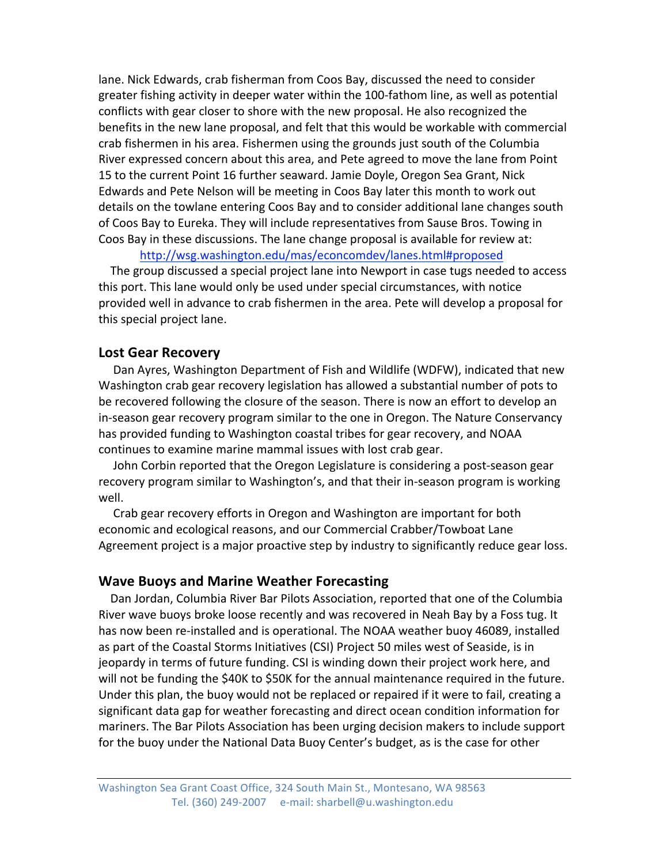lane. Nick Edwards, crab fisherman from Coos Bay, discussed the need to consider greater fishing activity in deeper water within the 100-fathom line, as well as potential conflicts with gear closer to shore with the new proposal. He also recognized the benefits in the new lane proposal, and felt that this would be workable with commercial crab fishermen in his area. Fishermen using the grounds just south of the Columbia River expressed concern about this area, and Pete agreed to move the lane from Point 15 to the current Point 16 further seaward. Jamie Doyle, Oregon Sea Grant, Nick Edwards and Pete Nelson will be meeting in Coos Bay later this month to work out details on the towlane entering Coos Bay and to consider additional lane changes south of Coos Bay to Eureka. They will include representatives from Sause Bros. Towing in Coos Bay in these discussions. The lane change proposal is available for review at:

http://wsg.washington.edu/mas/econcomdev/lanes.html#proposed

The group discussed a special project lane into Newport in case tugs needed to access this port. This lane would only be used under special circumstances, with notice provided well in advance to crab fishermen in the area. Pete will develop a proposal for this special project lane.

#### **Lost Gear Recovery**

Dan Ayres, Washington Department of Fish and Wildlife (WDFW), indicated that new Washington crab gear recovery legislation has allowed a substantial number of pots to be recovered following the closure of the season. There is now an effort to develop an in-season gear recovery program similar to the one in Oregon. The Nature Conservancy has provided funding to Washington coastal tribes for gear recovery, and NOAA continues to examine marine mammal issues with lost crab gear.

John Corbin reported that the Oregon Legislature is considering a post-season gear recovery program similar to Washington's, and that their in-season program is working well.

Crab gear recovery efforts in Oregon and Washington are important for both economic and ecological reasons, and our Commercial Crabber/Towboat Lane Agreement project is a major proactive step by industry to significantly reduce gear loss.

#### **Wave Buoys and Marine Weather Forecasting**

Dan Jordan, Columbia River Bar Pilots Association, reported that one of the Columbia River wave buoys broke loose recently and was recovered in Neah Bay by a Foss tug. It has now been re-installed and is operational. The NOAA weather buoy 46089, installed as part of the Coastal Storms Initiatives (CSI) Project 50 miles west of Seaside, is in jeopardy in terms of future funding. CSI is winding down their project work here, and will not be funding the \$40K to \$50K for the annual maintenance required in the future. Under this plan, the buoy would not be replaced or repaired if it were to fail, creating a significant data gap for weather forecasting and direct ocean condition information for mariners. The Bar Pilots Association has been urging decision makers to include support for the buoy under the National Data Buoy Center's budget, as is the case for other